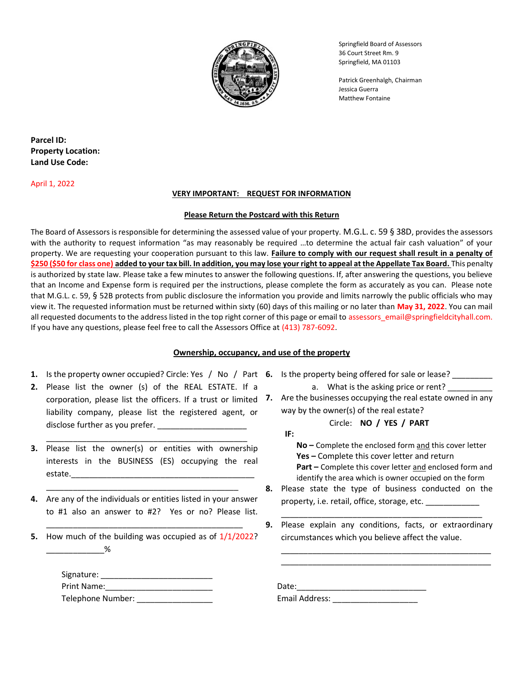

Springfield Board of Assessors 36 Court Street Rm. 9 Springfield, MA 01103

 Patrick Greenhalgh, Chairman Matthew Fontaine

Parcel ID: Property Location: Land Use Code:

April 1, 2022

#### VERY IMPORTANT: REQUEST FOR INFORMATION

#### Please Return the Postcard with this Return

The Board of Assessors is responsible for determining the assessed value of your property. M.G.L. c. 59 § 38D, provides the assessors with the authority to request information "as may reasonably be required …to determine the actual fair cash valuation" of your property. We are requesting your cooperation pursuant to this law. Failure to comply with our request shall result in a penalty of \$250 (\$50 for class one) added to your tax bill. In addition, you may lose your right to appeal at the Appellate Tax Board. This penalty is authorized by state law. Please take a few minutes to answer the following questions. If, after answering the questions, you believe that an Income and Expense form is required per the instructions, please complete the form as accurately as you can. Please note that M.G.L. c. 59, § 52B protects from public disclosure the information you provide and limits narrowly the public officials who may view it. The requested information must be returned within sixty (60) days of this mailing or no later than May 31, 2022. You can mail all requested documents to the address listed in the top right corner of this page or email to assessors email@springfieldcityhall.com. If you have any questions, please feel free to call the Assessors Office at (413) 787-6092.

## Ownership, occupancy, and use of the property

- 1. Is the property owner occupied? Circle: Yes / No / Part 6. Is the property being offered for sale or lease? \_\_\_\_\_\_\_\_
- 2. Please list the owner (s) of the REAL ESTATE. If a liability company, please list the registered agent, or disclose further as you prefer.

\_\_\_\_\_\_\_\_\_\_\_\_\_\_\_\_\_\_\_\_\_\_\_\_\_\_\_\_\_\_\_\_\_\_\_\_\_\_\_\_\_\_\_\_\_

- **3.** Please list the owner(s) or entities with ownership interests in the BUSINESS (ES) occupying the real estate.
- 4. Are any of the individuals or entities listed in your answer to #1 also an answer to #2? Yes or no? Please list.

\_\_\_\_\_\_\_\_\_\_\_\_\_\_\_\_\_\_\_\_\_\_\_\_\_\_\_\_\_\_\_\_\_\_\_\_\_\_\_\_\_\_\_\_

\_\_\_\_\_\_\_\_\_\_\_\_\_\_\_\_\_\_\_\_\_\_\_\_\_\_\_\_\_\_\_\_\_\_\_\_\_\_\_\_\_\_\_

5. How much of the building was occupied as of  $1/1/2022$ ?  $\frac{\%}{\%}$ 

| Signature:        |  |
|-------------------|--|
| Print Name:       |  |
| Telephone Number: |  |

- - a. What is the asking price or rent?
- corporation, please list the officers. If a trust or limited 7. Are the businesses occupying the real estate owned in any way by the owner(s) of the real estate?

Circle: NO / YES / PART

- IF:
	- No Complete the enclosed form and this cover letter Yes - Complete this cover letter and return Part – Complete this cover letter and enclosed form and identify the area which is owner occupied on the form
- 8. Please state the type of business conducted on the property, i.e. retail, office, storage, etc.

\_\_\_\_\_\_\_\_\_\_\_\_\_\_\_\_\_\_\_\_\_\_\_\_\_\_\_\_\_\_\_\_\_\_\_\_\_\_\_\_\_\_\_\_\_

9. Please explain any conditions, facts, or extraordinary circumstances which you believe affect the value.

\_\_\_\_\_\_\_\_\_\_\_\_\_\_\_\_\_\_\_\_\_\_\_\_\_\_\_\_\_\_\_\_\_\_\_\_\_\_\_\_\_\_\_\_\_\_\_ \_\_\_\_\_\_\_\_\_\_\_\_\_\_\_\_\_\_\_\_\_\_\_\_\_\_\_\_\_\_\_\_\_\_\_\_\_\_\_\_\_\_\_\_\_\_\_

 $Date:$ Telephone Number: \_\_\_\_\_\_\_\_\_\_\_\_\_\_\_\_\_ Email Address: \_\_\_\_\_\_\_\_\_\_\_\_\_\_\_\_\_\_\_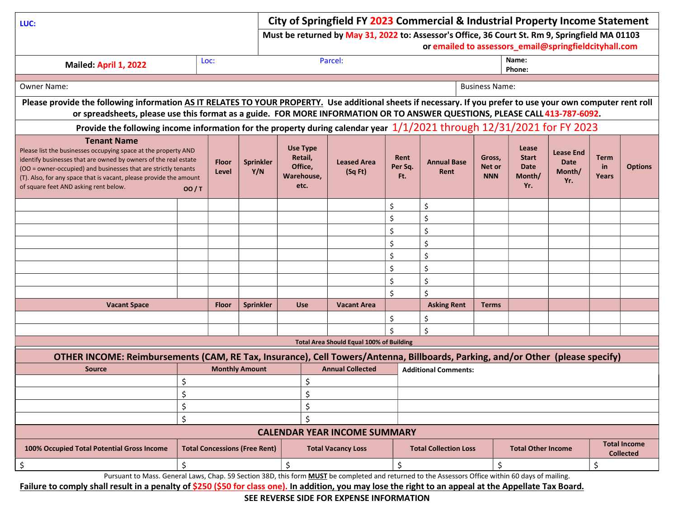| LUC:                                                                                                                                                                                                                                                                                                               | City of Springfield FY 2023 Commercial & Industrial Property Income Statement |                                                                                                                                                                                    |                         |                                                             |                                                 |                                                           |                                                                                                                                                          |                                         |                                                       |                                                  |                            |                |
|--------------------------------------------------------------------------------------------------------------------------------------------------------------------------------------------------------------------------------------------------------------------------------------------------------------------|-------------------------------------------------------------------------------|------------------------------------------------------------------------------------------------------------------------------------------------------------------------------------|-------------------------|-------------------------------------------------------------|-------------------------------------------------|-----------------------------------------------------------|----------------------------------------------------------------------------------------------------------------------------------------------------------|-----------------------------------------|-------------------------------------------------------|--------------------------------------------------|----------------------------|----------------|
|                                                                                                                                                                                                                                                                                                                    |                                                                               |                                                                                                                                                                                    |                         |                                                             |                                                 |                                                           | Must be returned by May 31, 2022 to: Assessor's Office, 36 Court St. Rm 9, Springfield MA 01103<br>or emailed to assessors_email@springfieldcityhall.com |                                         |                                                       |                                                  |                            |                |
| Mailed: April 1, 2022                                                                                                                                                                                                                                                                                              |                                                                               | Loc:                                                                                                                                                                               |                         |                                                             | Parcel:                                         |                                                           |                                                                                                                                                          |                                         | Name:<br>Phone:                                       |                                                  |                            |                |
| <b>Owner Name:</b>                                                                                                                                                                                                                                                                                                 |                                                                               |                                                                                                                                                                                    |                         |                                                             |                                                 |                                                           |                                                                                                                                                          | <b>Business Name:</b>                   |                                                       |                                                  |                            |                |
| Please provide the following information AS IT RELATES TO YOUR PROPERTY. Use additional sheets if necessary. If you prefer to use your own computer rent roll<br>or spreadsheets, please use this format as a guide. FOR MORE INFORMATION OR TO ANSWER QUESTIONS, PLEASE CALL 413-787-6092.                        |                                                                               |                                                                                                                                                                                    |                         |                                                             |                                                 |                                                           |                                                                                                                                                          |                                         |                                                       |                                                  |                            |                |
| Provide the following income information for the property during calendar year 1/1/2021 through 12/31/2021 for FY 2023                                                                                                                                                                                             |                                                                               |                                                                                                                                                                                    |                         |                                                             |                                                 |                                                           |                                                                                                                                                          |                                         |                                                       |                                                  |                            |                |
| <b>Tenant Name</b>                                                                                                                                                                                                                                                                                                 |                                                                               |                                                                                                                                                                                    |                         |                                                             |                                                 |                                                           |                                                                                                                                                          |                                         |                                                       |                                                  |                            |                |
| Please list the businesses occupying space at the property AND<br>identify businesses that are owned by owners of the real estate<br>(OO = owner-occupied) and businesses that are strictly tenants<br>(T). Also, for any space that is vacant, please provide the amount<br>of square feet AND asking rent below. | OO/T                                                                          | <b>Floor</b><br>Level                                                                                                                                                              | <b>Sprinkler</b><br>Y/N | <b>Use Type</b><br>Retail,<br>Office,<br>Warehouse,<br>etc. | <b>Leased Area</b><br>(Sq Ft)                   | Rent<br>Per Sq.<br>Ft.                                    | <b>Annual Base</b><br>Rent                                                                                                                               | Gross,<br>Net or<br><b>NNN</b>          | Lease<br><b>Start</b><br><b>Date</b><br>Month/<br>Yr. | <b>Lease End</b><br><b>Date</b><br>Month/<br>Yr. | <b>Term</b><br>in<br>Years | <b>Options</b> |
|                                                                                                                                                                                                                                                                                                                    |                                                                               |                                                                                                                                                                                    |                         |                                                             |                                                 | \$                                                        | \$                                                                                                                                                       |                                         |                                                       |                                                  |                            |                |
|                                                                                                                                                                                                                                                                                                                    |                                                                               |                                                                                                                                                                                    |                         |                                                             |                                                 | \$                                                        | \$                                                                                                                                                       |                                         |                                                       |                                                  |                            |                |
|                                                                                                                                                                                                                                                                                                                    |                                                                               |                                                                                                                                                                                    |                         |                                                             |                                                 | \$                                                        | \$                                                                                                                                                       |                                         |                                                       |                                                  |                            |                |
|                                                                                                                                                                                                                                                                                                                    |                                                                               |                                                                                                                                                                                    |                         |                                                             |                                                 | \$                                                        | \$                                                                                                                                                       |                                         |                                                       |                                                  |                            |                |
|                                                                                                                                                                                                                                                                                                                    |                                                                               |                                                                                                                                                                                    |                         |                                                             |                                                 | Ś                                                         | \$                                                                                                                                                       |                                         |                                                       |                                                  |                            |                |
|                                                                                                                                                                                                                                                                                                                    |                                                                               |                                                                                                                                                                                    |                         |                                                             |                                                 | \$                                                        | \$                                                                                                                                                       |                                         |                                                       |                                                  |                            |                |
|                                                                                                                                                                                                                                                                                                                    |                                                                               |                                                                                                                                                                                    |                         |                                                             |                                                 | \$                                                        | \$                                                                                                                                                       |                                         |                                                       |                                                  |                            |                |
|                                                                                                                                                                                                                                                                                                                    |                                                                               |                                                                                                                                                                                    |                         |                                                             |                                                 | \$                                                        | \$                                                                                                                                                       |                                         |                                                       |                                                  |                            |                |
| <b>Vacant Space</b>                                                                                                                                                                                                                                                                                                |                                                                               | <b>Floor</b>                                                                                                                                                                       | <b>Sprinkler</b>        | <b>Use</b>                                                  | <b>Vacant Area</b>                              |                                                           | <b>Asking Rent</b>                                                                                                                                       | <b>Terms</b>                            |                                                       |                                                  |                            |                |
|                                                                                                                                                                                                                                                                                                                    |                                                                               |                                                                                                                                                                                    |                         |                                                             |                                                 | \$                                                        | \$                                                                                                                                                       |                                         |                                                       |                                                  |                            |                |
|                                                                                                                                                                                                                                                                                                                    |                                                                               |                                                                                                                                                                                    |                         |                                                             | <b>Total Area Should Equal 100% of Building</b> | $\dot{\mathsf{S}}$                                        | \$                                                                                                                                                       |                                         |                                                       |                                                  |                            |                |
|                                                                                                                                                                                                                                                                                                                    |                                                                               |                                                                                                                                                                                    |                         |                                                             |                                                 |                                                           |                                                                                                                                                          |                                         |                                                       |                                                  |                            |                |
| <b>Source</b>                                                                                                                                                                                                                                                                                                      |                                                                               | OTHER INCOME: Reimbursements (CAM, RE Tax, Insurance), Cell Towers/Antenna, Billboards, Parking, and/or Other (please specify)<br><b>Monthly Amount</b><br><b>Annual Collected</b> |                         |                                                             |                                                 |                                                           | <b>Additional Comments:</b>                                                                                                                              |                                         |                                                       |                                                  |                            |                |
|                                                                                                                                                                                                                                                                                                                    | Ś                                                                             | \$                                                                                                                                                                                 |                         |                                                             |                                                 |                                                           |                                                                                                                                                          |                                         |                                                       |                                                  |                            |                |
|                                                                                                                                                                                                                                                                                                                    | Ś                                                                             |                                                                                                                                                                                    |                         | Ś.                                                          |                                                 |                                                           |                                                                                                                                                          |                                         |                                                       |                                                  |                            |                |
|                                                                                                                                                                                                                                                                                                                    | \$                                                                            |                                                                                                                                                                                    | \$                      |                                                             |                                                 |                                                           |                                                                                                                                                          |                                         |                                                       |                                                  |                            |                |
|                                                                                                                                                                                                                                                                                                                    | Ś<br>\$                                                                       |                                                                                                                                                                                    |                         |                                                             |                                                 |                                                           |                                                                                                                                                          |                                         |                                                       |                                                  |                            |                |
|                                                                                                                                                                                                                                                                                                                    |                                                                               |                                                                                                                                                                                    |                         |                                                             | <b>CALENDAR YEAR INCOME SUMMARY</b>             |                                                           |                                                                                                                                                          |                                         |                                                       |                                                  |                            |                |
| 100% Occupied Total Potential Gross Income                                                                                                                                                                                                                                                                         | <b>Total Concessions (Free Rent)</b><br><b>Total Vacancy Loss</b>             |                                                                                                                                                                                    |                         |                                                             |                                                 | <b>Total Collection Loss</b><br><b>Total Other Income</b> |                                                                                                                                                          | <b>Total Income</b><br><b>Collected</b> |                                                       |                                                  |                            |                |
| \$<br>Burguant to Macc. Conoral Laws, Chan. EQ Soction 29D, this form MUST be completed and returned to the Associate Office within 60 days of mailing                                                                                                                                                             | \$<br>\$                                                                      |                                                                                                                                                                                    |                         |                                                             | \$                                              |                                                           | \$                                                                                                                                                       |                                         |                                                       | \$                                               |                            |                |

Pursuant to Mass. General Laws, Chap. 59 Section 38D, this form **MUST** be completed and returned to the Assessors Office within 60 days of mailing.

Failure to comply shall result in a penalty of \$250 (\$50 for class one). In addition, you may lose the right to an appeal at the Appellate Tax Board.

SEE REVERSE SIDE FOR EXPENSE INFORMATION